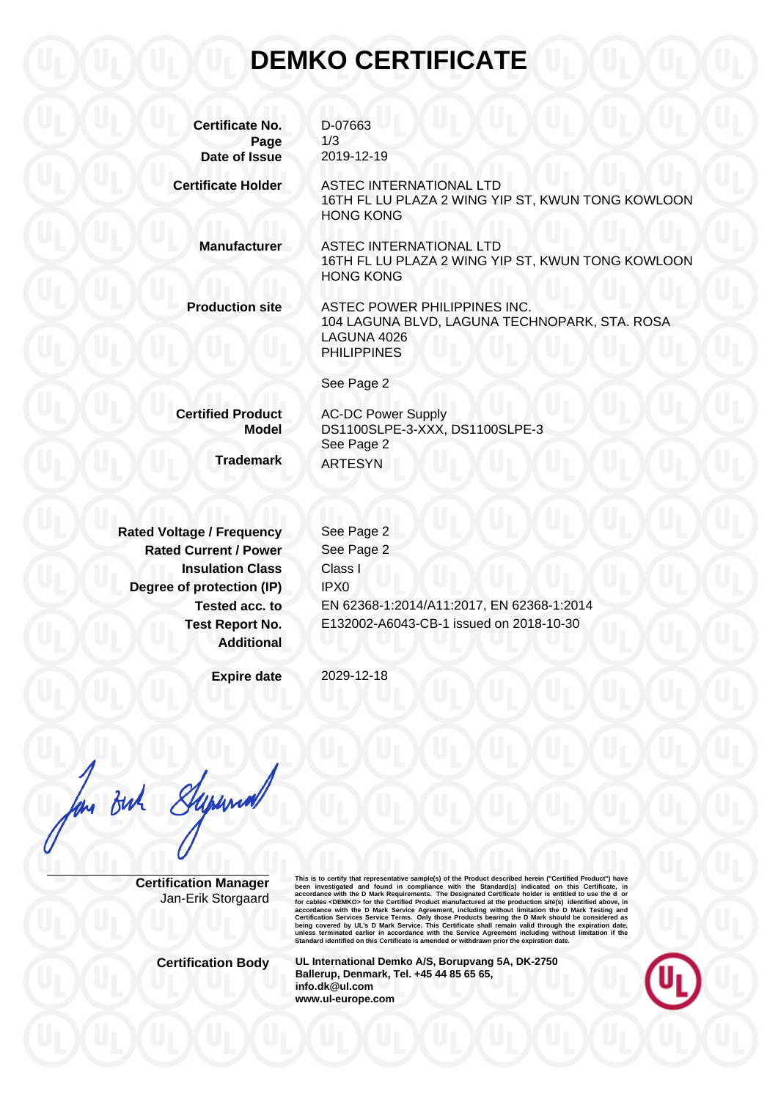## **DEMKO CERTIFICATE**

| <b>Certificate No.</b><br>Page | D-07663<br>1/3                                                                                                     |
|--------------------------------|--------------------------------------------------------------------------------------------------------------------|
| Date of Issue                  | 2019-12-19                                                                                                         |
| <b>Certificate Holder</b>      | ASTEC INTERNATIONAL LTD<br>16TH FL LU PLAZA 2 WING YIP ST, KWUN TONG KOWLOON<br><b>HONG KONG</b>                   |
| <b>Manufacturer</b>            | ASTEC INTERNATIONAL LTD<br>16TH FL LU PLAZA 2 WING YIP ST, KWUN TONG KOWLOON<br><b>HONG KONG</b>                   |
| <b>Production site</b>         | ASTEC POWER PHILIPPINES INC.<br>104 LAGUNA BLVD, LAGUNA TECHNOPARK, STA. ROSA<br>LAGUNA 4026<br><b>PHILIPPINES</b> |
|                                | See Page 2                                                                                                         |
| <b>Certified Product</b>       | <b>AC-DC Power Supply</b>                                                                                          |
| <b>Model</b>                   | DS1100SLPE-3-XXX, DS1100SLPE-3                                                                                     |
| <b>Trademark</b>               | See Page 2<br><b>ARTESYN</b>                                                                                       |

**Rated Voltage / Frequency Rated Current / Power Insulation Class Degree of protection (IP) Tested acc. to Test Report No. Additional**

See Page 2 See Page 2 Class I IPX0 EN 62368-1:2014/A11:2017, EN 62368-1:2014 E132002-A6043-CB-1 issued on 2018-10-30

**Expire date**

2029-12-18

 $\frac{1}{6}$ 

**Certification Manager** Jan-Erik Storgaard This is to certify that representative sample(s) of the Product described herein ("Certifical Product") have<br>been investigated and found in compliance with the Standard(s) indicated on this Certificate, in<br>accordance with

**Certification Body UL International Demko A/S, Borupvang 5A, DK-2750 Ballerup, Denmark, Tel. +45 44 85 65 65, info.dk@ul.com www.ul-europe.com**

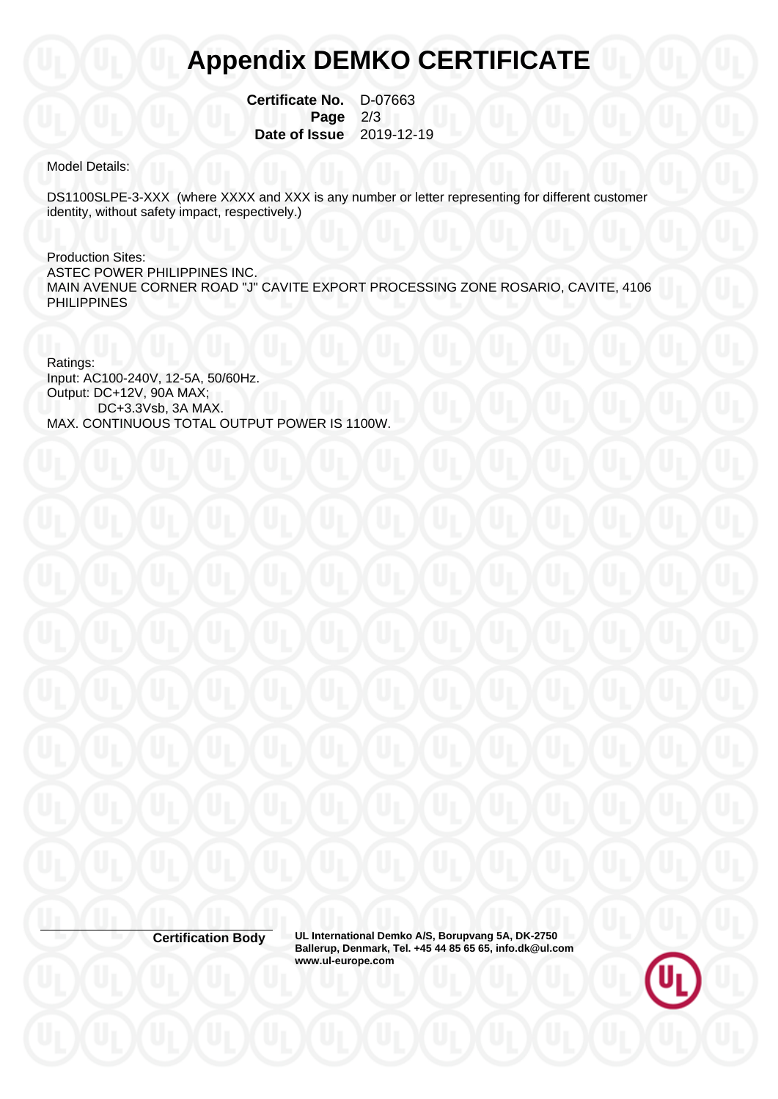## **Appendix DEMKO CERTIFICATE**

 **Certificate No.** D-07663  **Page** 2/3  **Date of Issue** 2019-12-19

Model Details:

DS1100SLPE-3-XXX (where XXXX and XXX is any number or letter representing for different customer identity, without safety impact, respectively.)

Production Sites: ASTEC POWER PHILIPPINES INC. MAIN AVENUE CORNER ROAD "J" CAVITE EXPORT PROCESSING ZONE ROSARIO, CAVITE, 4106 PHILIPPINES

Ratings: Input: AC100-240V, 12-5A, 50/60Hz. Output: DC+12V, 90A MAX; DC+3.3Vsb, 3A MAX. MAX. CONTINUOUS TOTAL OUTPUT POWER IS 1100W.

**Certification Body UL International Demko A/S, Borupvang 5A, DK-2750 Ballerup, Denmark, Tel. +45 44 85 65 65, info.dk@ul.com www.ul-europe.com**